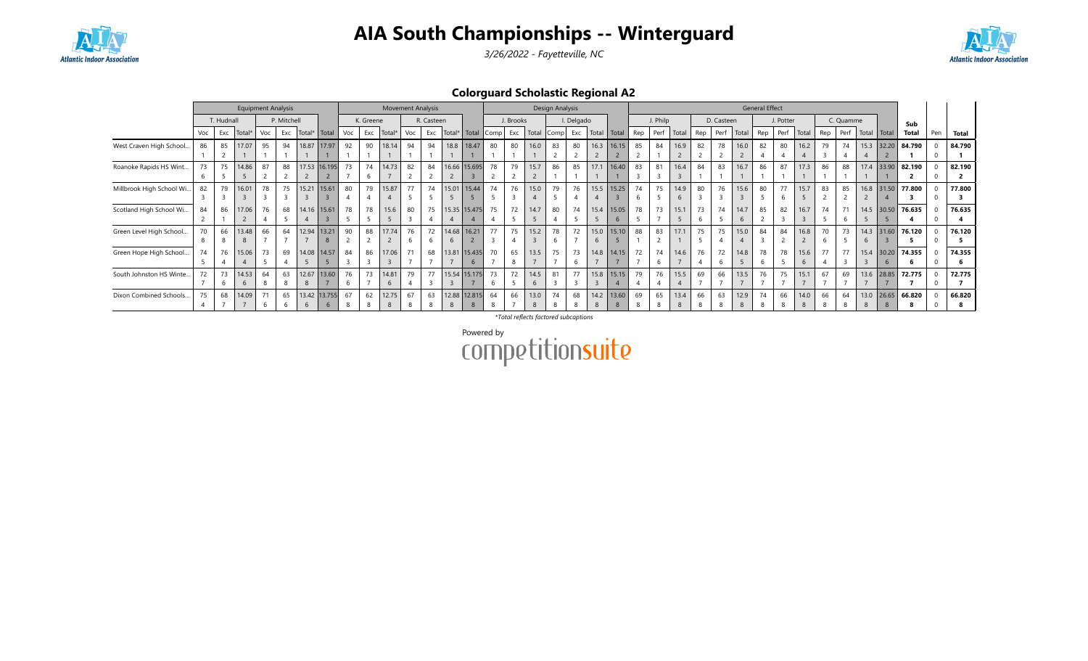



3/26/2022 - Fayetteville, NC

## Colorguard Scholastic Regional A2

|                           |     |            | <b>Equipment Analysis</b> |              |             |                |               |              |           | <b>Movement Analysis</b> |     |            |              |              |      |           |       | Design Analysis |            |       |              |     |          |       |     |            |       | <b>General Effect</b> |           |       |     |           |             |            |                   |              |        |
|---------------------------|-----|------------|---------------------------|--------------|-------------|----------------|---------------|--------------|-----------|--------------------------|-----|------------|--------------|--------------|------|-----------|-------|-----------------|------------|-------|--------------|-----|----------|-------|-----|------------|-------|-----------------------|-----------|-------|-----|-----------|-------------|------------|-------------------|--------------|--------|
|                           |     | T. Hudnall |                           |              | P. Mitchell |                |               |              | K. Greene |                          |     | R. Casteen |              |              |      | J. Brooks |       |                 | I. Delgado |       |              |     | J. Philp |       |     | D. Casteen |       |                       | J. Potter |       |     | C. Quamme |             |            | Sub               |              |        |
|                           | Voc | Exc        | Total*                    | Voc          | Exc         | Total*         | Total         | Voc          | Exc       | Total*                   | Voc |            | $Exc$ Total* | Total        | Comp | Exc       | Total | $\mathsf{Comp}$ | Exc        | Total | Total        | Rep | Perf     | Total | Rep | Perf       | Total | Rep                   | Perf      | Total | Rep | Perf      | Total Total |            | Total             | Pen          | Total  |
| West Craven High School   | 86  | 85         | 17.07                     | 95           | 94          |                | 18.87   17.97 | 92           | 90        | 18.14                    | 94  | 94         | 18.8         | 18.47        | 80   | 80        | 16.0  | 83              | 80         |       | 16.3   16.15 | 85  | 84       | 16.9  | 82  | 78         | 16.0  | 82                    | 80        | 16.2  | 79  | 74        |             | 15.3 32.20 | 84.790            |              | 84.790 |
|                           |     |            |                           |              |             |                |               |              |           |                          |     |            |              |              |      |           |       |                 |            |       |              |     |          |       |     |            |       |                       |           |       |     |           |             |            |                   |              |        |
| Roanoke Rapids HS Wint    | 73  | 75         | 14.86                     | 87           | 88          |                | 17.53 16.195  | 73           | 74        | 14.73                    | 82  | 84         |              | 16.66 15.695 | 78   | 79        | 15.7  | 86              | 85         |       | 17.1 16.40   | 83  | 81       | 16.4  | 84  | 83         | 16.7  | 86                    | 87        | 17.3  | 86  | 88        |             | 17.4 33.90 | 82.190            |              | 82.190 |
|                           |     |            |                           |              |             |                |               |              |           |                          |     |            |              |              |      |           |       |                 |            |       |              |     |          |       |     |            |       |                       |           |       |     |           |             |            |                   |              |        |
| Millbrook High School Wi. | 82  | 79         | 16.01                     | 78           | 75          | 15.21          | 15.61         | 80           | 79        | 15.87                    | 77  | 74         |              | 15.01 15.44  | 74   | 76        | 15.0  | 79              | 76         |       | 15.5   15.25 | 74  | 75       | 14.9  | 80  | 76         | 15.6  | 80                    | 77        | 15.7  | 83  | 85        |             |            | 16.8 31.50 77.800 |              | 77.800 |
|                           |     |            |                           |              |             |                |               |              |           |                          |     |            |              |              |      |           |       |                 |            |       |              |     |          |       |     |            |       |                       |           |       |     |           |             |            |                   |              |        |
| Scotland High School Wi   | 84  | 86         | 17.06                     | 76           | 68          |                | 14.16 15.61   | 78           | 78        | 15.6                     | 80  | 75         |              | 15.35 15.475 | 75   | 72        | 14.7  | 80              | 74         |       | 15.4 15.05   | 78  | 73       | 15.1  | 73  | 74         |       | 85                    | 82        | 16.7  | 74  | 71        |             | 14.5 30.50 | 76.635            |              | 76.635 |
|                           |     |            |                           |              |             | $\overline{4}$ |               |              |           |                          |     |            |              |              |      |           |       |                 |            |       |              |     |          |       |     |            |       |                       |           |       |     |           |             |            |                   | 0            |        |
| Green Level High School   | 70  | 66         | 13.48                     | 66           | 64          | 12.94          | 13.21         | $90^{\circ}$ | 88        | 17.74                    | 76  | 72         |              | 14.68 16.21  | 77   | 75        | 15.2  | 78              | 72         |       | 15.0   15.10 | 88  | 83       | 17.1  | 75  | 75         | 15.0  | 84                    | 84        | 16.8  | 70  | 73        |             | 14.3 31.60 | 76.120            |              | 76.120 |
|                           | 8   |            |                           |              |             |                |               |              |           |                          |     |            |              |              |      |           |       |                 |            |       |              |     |          |       |     |            |       |                       |           |       |     |           |             |            |                   |              |        |
| Green Hope High School    | 74  | 76         | 15.06                     | 73           | 69          |                | 14.08 14.57   | 84           | 86        | 17.06                    |     | 68         | 13.81        | 15.435       | 70   | 65        | 13.5  | 75              | 73         |       | 14.8 14.15   | 72  | 74       | 14.6  | 76  | 72         | 14.8  | 78                    | 78        | 15.6  | 77  | 77        | 15.4        | 30.20      | 74.355            |              | 74.355 |
|                           |     |            |                           |              |             |                |               |              |           |                          |     |            |              |              |      |           |       |                 |            |       |              |     |          |       |     |            |       |                       |           |       |     |           |             |            |                   |              |        |
| South Johnston HS Winte   | 72  | 73         | 14.53                     | 64           | 63          |                | 12.67   13.60 | 76           | 73        | 14.81                    | 79  | 77         |              | 15.54 15.175 | 73   | 72        | 14.5  | 81              | 77         |       | 15.8 15.15   | 79  | 76       | 15.5  | 69  | 66         | 13.5  | 76                    | 75        | 15.1  | 67  | 69        |             |            | 13.6 28.85 72.775 |              | 72,775 |
|                           |     |            |                           |              |             |                |               |              |           | $\mathfrak{b}$           |     |            |              |              |      |           | 6     |                 |            |       |              |     |          |       |     |            |       |                       |           |       |     |           |             |            |                   |              |        |
| Dixon Combined Schools    | 75  | 68         | 14.09                     | 71           | 65          |                | 13.42 13.755  | 67           | 62        | 12.75                    | 67  | 63         |              | 12.88 12.815 | 64   | 66        | 13.0  | 74              | 68         |       | 14.2   13.60 | 69  | 65       | 13.4  | 66  | 63         | 12.9  | 74                    | 66        | 14.0  | 66  | 64        | 13.0        | 26.65      | 66.820            | $\Omega$     | 66.820 |
|                           |     |            |                           | <sub>b</sub> |             | 6              | $\mathbf{b}$  |              |           | 8                        |     |            | 8            | 8            |      |           | 8     |                 |            |       |              |     | 8        | 8     |     |            |       |                       |           | 8     |     |           | 8           | 8          | 8                 | <sup>0</sup> |        |

\*Total reflects factored subcaptions

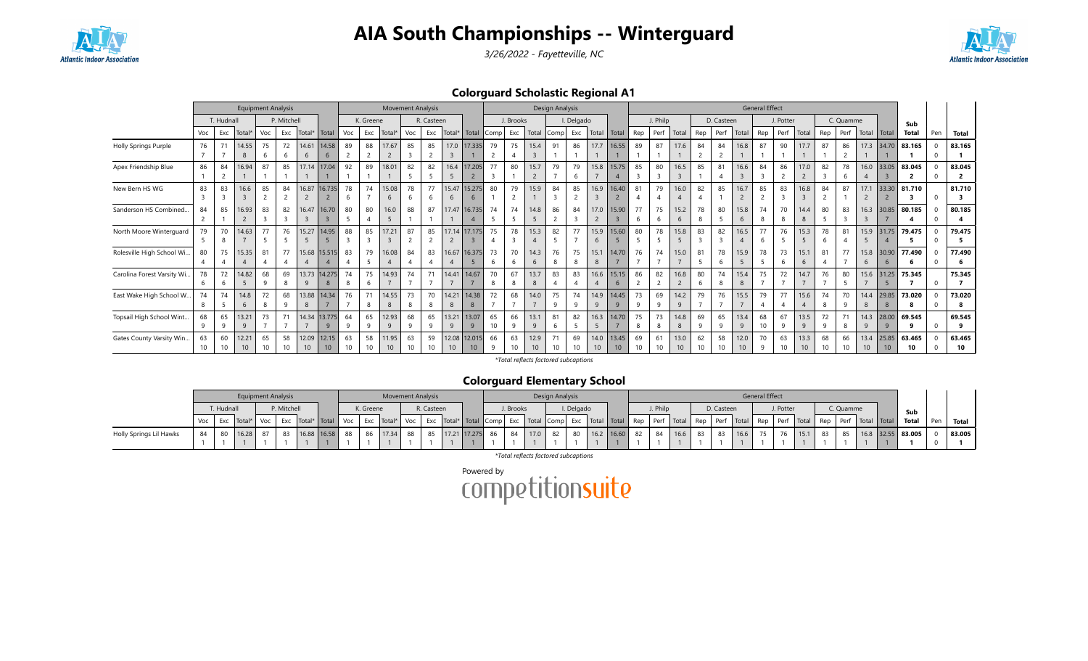

3/26/2022 - Fayetteville, NC



Colorguard Scholastic Regional A1

|                            |          |                      | <b>Equipment Analysis</b> |          |                        |                         |                           |                      |                       | <b>Movement Analysis</b> |                        |                       |                |                       |         |                      |                        | Design Analysis |                       |                         |                         |                |                               |                         |          |                    |                      | <b>General Effect</b> |                       |                        |                       |                       |                         |             |              |                      |                          |
|----------------------------|----------|----------------------|---------------------------|----------|------------------------|-------------------------|---------------------------|----------------------|-----------------------|--------------------------|------------------------|-----------------------|----------------|-----------------------|---------|----------------------|------------------------|-----------------|-----------------------|-------------------------|-------------------------|----------------|-------------------------------|-------------------------|----------|--------------------|----------------------|-----------------------|-----------------------|------------------------|-----------------------|-----------------------|-------------------------|-------------|--------------|----------------------|--------------------------|
|                            |          | T. Hudnall           |                           |          | P. Mitchell            |                         |                           |                      | K. Greene             |                          |                        | R. Casteen            |                |                       |         | J. Brooks            |                        |                 | I. Delgado            |                         |                         |                | J. Philp                      |                         |          | D. Casteen         |                      |                       | J. Potter             |                        |                       | C. Quamme             |                         |             | Sub          |                      |                          |
|                            | Voc      | Exc                  | Total                     | Voc      | Exc                    | Total*                  | Total                     | Voc                  | Exc                   | Total*                   | Voc                    |                       | Exc Total*     | Total                 | Comp    | Exc                  | Total                  | Comp            | Exc                   |                         | Total   Total           | Rep            | Perf                          | Total                   | Rep      | Perf               | Total                | Rep                   | Perf                  | Total                  | Rep                   | Perf                  | Total                   | Total       | Total        | Pen                  | Total                    |
| Holly Springs Purple       | 76       | 71                   | 14.55<br>8                | 75<br>-6 | 72                     | 14.61<br>6              | 14.58<br>6                | 89<br>$\overline{2}$ | 88<br>$\overline{2}$  | 17.67<br>$\overline{2}$  | 85<br>3                | 85                    | $\overline{3}$ | 17.0 17.335           | 79      | 75<br>$\overline{A}$ | 15.4<br>$\overline{3}$ | 91              | 86                    |                         | 17.7   16.55            | 89             | 87                            | 17.6                    | 84       | 84                 | 16.8                 | 87                    | 90                    | 17.7                   | 87                    | 86                    |                         | 17.3 34.70  | 83.165       | $\Omega$             | 83.165                   |
| Apex Friendship Blue       | 86       | 84                   | 16.94                     | 87       | 85                     | 17.14                   | 17.04                     | 92                   | 89                    | 18.01                    | 82                     | 82                    | 16.4           | 17.205                | 77      | 80                   | 15.7<br>2              | 79              | 79<br>6               | 15.8                    | 15.75                   | 85             | 80<br>$\overline{\mathbf{3}}$ | 16.5<br>3               | 85       | 81                 | 16.6                 | 84                    | 86<br>2               | 17.0<br>$\overline{2}$ | 82<br>3               | 78                    | 16.0<br>$\overline{4}$  | 33.05       | 83.045<br>-2 | $\Omega$<br>$\Omega$ | 83.045<br>$\overline{2}$ |
| New Bern HS WG             | 83<br>3  | 83<br>$\overline{3}$ | 16.6                      | 85       | 84                     | 16.87<br>$\overline{2}$ | 16.735<br>$\overline{2}$  | 78                   | 74                    | 15.08<br>6               | 78<br>b                | 77                    | 15.47          | 15.275<br>6           | 80      | 79<br>$\overline{2}$ | 15.9                   | 84<br>3         | 85                    | 16.9<br>$\overline{3}$  | 16.40<br>$\overline{2}$ | 81             | 79<br>$\overline{4}$          | 16.0                    | 82       | 85                 | 16.7<br>$\epsilon$   | 85                    | 83<br>3               | 16.8<br>$\overline{3}$ | 84                    | 87                    | 17.1<br>$\overline{c}$  | 33.30       | 81.710       | $\Omega$             | 81.710<br>3              |
| Sanderson HS Combined      | 84       | 85                   | 16.93                     | 83       | 82                     | 16.47<br>$\overline{3}$ | 16.70                     | 80                   | 80                    | 16.0<br>5                | 88                     | 87                    | 17.47          | 16.735                | 74      | 74<br>5              | 14.8<br>5              | 86              | 84                    | 17.0<br>$\overline{2}$  | 15.90                   | 77             | 75<br>6                       | 15.2<br>6               | 78<br>8  | 80                 | 15.8<br>6            | 74                    | 70<br>8               | 14.4<br>8              | 80                    | 83                    | 16.3                    | 30.85       | 80.185       | $\Omega$<br>O        | 80.185                   |
| North Moore Winterquard    | 79       | 70                   | 14.63                     | 77       | 76                     | 15.27                   | 14.95                     | 88                   | 85                    | 17.21                    | 87                     | 85                    |                | 17.175                | 75      | 78                   | 15.3<br>$\overline{A}$ | 82              | 77                    | 15.9<br>6               | 15.60                   | 80             | 78                            | 15.8                    | 83       | 82                 | 16.5                 | 77                    | 76                    | 15.3<br>5              | 78<br>h               | 81                    | 15.9<br>5               | 31.75       | 79.475       | <sup>0</sup>         | 79.475<br>-5             |
| Rolesville High School Wi  | 80       | 75                   | 15.35                     | 81       | 77                     | 15.68                   | 15.515                    | 83                   | 79                    | 16.08<br>4               | 84                     | 83                    | 16.67          | 16.375                | 73      | 70<br>6              | 14.3<br>6              | 76              | 75                    | 15.1<br>8               | 14.70                   | 76             | 74                            | 15.0                    | 81       | 78<br>6            | 15.9                 | 78                    | 73<br>6               | 15.1<br>6              | 81                    | 77                    | 15.8<br>6               | 30.90<br>6  | 77.490       | $\Omega$<br>$\Omega$ | 77.490                   |
| Carolina Forest Varsity Wi | 78<br>6  | 72<br>6              | 14.82<br>5                | 68<br>9  | 69                     | 9                       | 13.73 14.275<br>8         | 74<br>8              | 75<br>6               | 14.93                    | 74                     | 71                    | 14.41          | 14.67                 | 70<br>8 | 67<br>8              | 13.7<br>8              | 83              | 83                    | $\overline{4}$          | $16.6$   15.15<br>6     | 86             | 82<br>$\overline{2}$          | 16.8                    | 80       | 74<br>8            | 15.4<br>8            | 75                    | 72                    | 14.7                   | 76                    | 80                    | 15.6                    | 31.25       | 75.345       | $\mathbf 0$          | 75.345                   |
| East Wake High School W.   | 74<br>8  | 74<br>-5             | 14.8<br>6                 | 72<br>8  | 68<br>9                | 8                       | 13.88 14.34               | 76                   | 71<br>8               | 14.55<br>8               | 73<br>8                | 70                    | 14.21<br>8     | 14.38<br>8            | 72      | 68<br>$\overline{ }$ | 14.0                   | 75<br>-9        | 74<br>$\mathsf{q}$    | 9                       | 14.9 14.45<br>-9        | 73<br><b>q</b> | 69<br>9                       | 14.2<br>9               | 79       | 76                 | 15.5                 | 79                    | 77                    | 15.6<br>$\overline{4}$ | 74<br>8               | 70                    | 14.4<br>8               | 29.85<br>8  | 73.020<br>8  | $\Omega$<br>$\Omega$ | 73.020<br>8              |
| Topsail High School Wint   | 68<br>q  | 65<br>$\alpha$       | 13.21<br>q                | 73       | 71                     | 14.34                   | 13.775<br>$\alpha$        | 64<br>$\alpha$       | 65<br>$\mathsf{q}$    | 12.93<br>9               | 68<br>9                | 65                    | 13.21<br>q     | 13.07<br>$\mathsf{q}$ | 65      | 66<br>9              | 13.1<br>9              | 81              | 82                    | 16.3<br>-5              | 14.70                   | 75<br>8        | 73<br>8                       | 14.8<br>8               | 69       | 65<br>$\mathbf{q}$ | 13.4<br>$\mathsf{q}$ | 68<br>10              | 67<br>q               | 13.5<br>9              | 72<br>q               | 71                    | 14.3<br>9               | 28.00<br>9  | 69.545<br>9  | $\Omega$             | 69.545<br>9              |
| Gates County Varsity Win   | 63<br>10 | 60                   | 12.21<br>10               | 65<br>10 | 58<br>10 <sup>10</sup> | 12.09<br>10             | 12.15<br>10 <sup>10</sup> | 63<br>10             | 58<br>10 <sup>1</sup> | 1.95<br>10               | 63<br>10 <sup>10</sup> | 59<br>10 <sup>1</sup> | 12.08<br>10    | 12.015<br>10          | 66<br>9 | 63<br>10             | 12.9<br>10             | 71              | 69<br>10 <sup>1</sup> | 14.0<br>10 <sup>°</sup> | 13.45<br>10             | 69<br>10       | 61<br>10                      | 13.0<br>10 <sup>°</sup> | 62<br>10 | 58<br>10           | 12.0<br>10           | 70                    | 63<br>10 <sup>1</sup> | 13.3<br>10             | 68<br>10 <sup>1</sup> | 66<br>10 <sup>1</sup> | 13.4<br>10 <sup>°</sup> | 25.85<br>10 | 63.465<br>10 | $\Omega$<br>$\Omega$ | 63.465<br>10             |

\*Total reflects factored subcaptions

## Colorguard Elementary School

|                         |      |                   | <b>Equipment Analysis</b> |     |             |                                     |    |            | <b>Movement Analysis</b> |            |                                                                                                                                       |           |      | Design Analysis |            |               |  |          |         |                 |            |      | <b>General Effect</b> |           |         |    |           |                      |                     |     |        |
|-------------------------|------|-------------------|---------------------------|-----|-------------|-------------------------------------|----|------------|--------------------------|------------|---------------------------------------------------------------------------------------------------------------------------------------|-----------|------|-----------------|------------|---------------|--|----------|---------|-----------------|------------|------|-----------------------|-----------|---------|----|-----------|----------------------|---------------------|-----|--------|
|                         |      | <b>F. Hudnall</b> |                           |     | P. Mitchell |                                     |    | K. Greene  |                          | R. Casteen |                                                                                                                                       | J. Brooks |      |                 | I. Delgado |               |  | J. Philp |         |                 | D. Casteen |      |                       | J. Potter |         |    | C. Quamme |                      | Sub                 |     |        |
|                         |      |                   | l Total*                  | Voc |             | Exc Total* Total Voc Exc Total* Voc |    |            |                          |            | Exc   Total*   Total   Comp   Exc   Total   Comp   Exc   Total   Total   Rep   Perf   Total   Rep   Perf   Total   Rep   Perf   Total |           |      |                 |            |               |  |          |         |                 |            |      |                       |           |         |    |           | Rep Perf Total Total | Total               | Pen | Total  |
| Holly Springs Lil Hawks | 84 I |                   | 16.28                     |     | 83          | 16.88 16.58                         | 88 | $\vert$ 86 | 17.34                    |            | 88 85 17.21 17.275 86                                                                                                                 | 84        | 17.0 | 82              | 80         | 16.2 16.60 82 |  |          | 84 16.6 | 83 <sub>1</sub> | 83         | 16.6 | 75                    |           | 76 15.1 | 83 | 85        |                      | $16.8$ 32.55 83.005 |     | 83.005 |
|                         |      |                   |                           |     |             |                                     |    |            |                          |            |                                                                                                                                       |           |      |                 |            |               |  |          |         |                 |            |      |                       |           |         |    |           |                      |                     |     |        |

\*Total reflects factored subcaptions

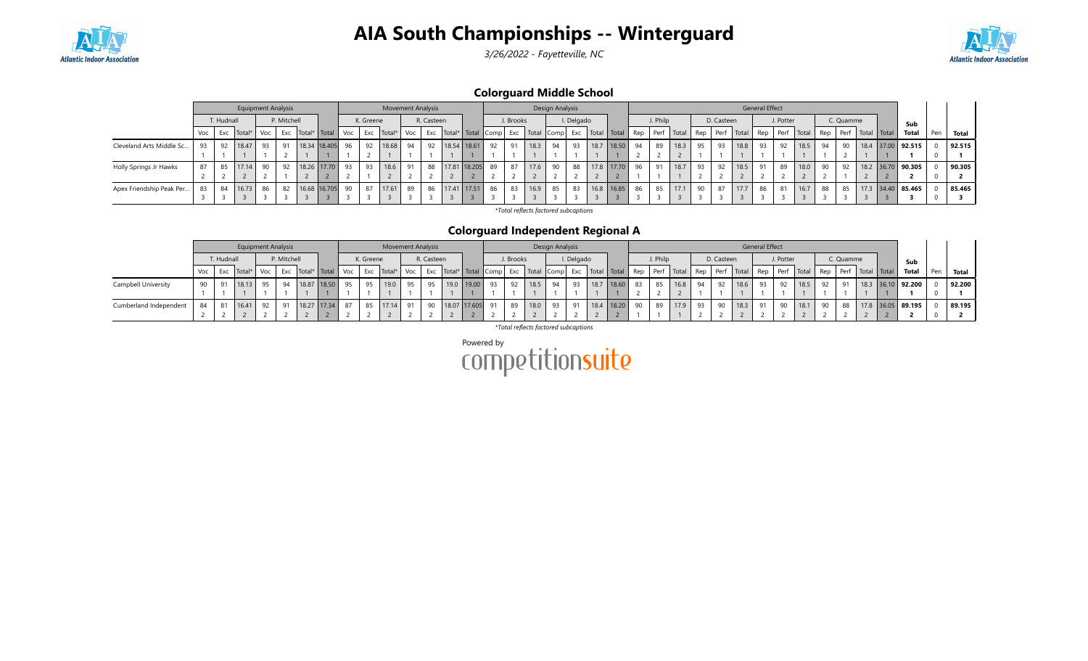

3/26/2022 - Fayetteville, NC



## Colorguard Middle School

|                          | <b>Equipment Analysis</b><br>P. Mitchell<br>T. Hudnall<br>Voc<br>Exc   Total*   Total  <br>Exc<br>Voc<br>Total*<br>18.47<br>93<br>18.34 18.405 96<br>91<br>93<br>Q2 |    |       |    |    |  |                 | <b>Movement Analysis</b> |           |        |     |            |       |                       |    | Design Analysis |      |    |            |                                              |    |          |           |    | <b>General Effect</b> |      |     |           |            |          |           |                      |                     |     |        |
|--------------------------|---------------------------------------------------------------------------------------------------------------------------------------------------------------------|----|-------|----|----|--|-----------------|--------------------------|-----------|--------|-----|------------|-------|-----------------------|----|-----------------|------|----|------------|----------------------------------------------|----|----------|-----------|----|-----------------------|------|-----|-----------|------------|----------|-----------|----------------------|---------------------|-----|--------|
|                          |                                                                                                                                                                     |    |       |    |    |  |                 |                          | K. Greene |        |     | R. Casteen |       |                       |    | J. Brooks       |      |    | I. Delgado |                                              |    | J. Philp |           |    | D. Casteen            |      |     | J. Potter |            |          | C. Quamme |                      | Sub                 |     |        |
|                          |                                                                                                                                                                     |    |       |    |    |  |                 | Voc                      | Exc       | Total* | Voc | Exc        |       | Total*   Total   Comp |    |                 |      |    |            | Exc   Total Comp   Exc   Total   Total   Rep |    | Perf     | Total Rep |    | Perf   Total          |      | Rep |           | Perf Total | Rep      |           | Perf   Total   Total | Total               | Pen | Total  |
| Cleveland Arts Middle Sc |                                                                                                                                                                     |    |       |    |    |  |                 |                          | 92        | 18.68  | 94  | 92         | 18.54 | 18.61                 | 92 | 91              | 18.3 | 94 | 93         | 18.7 18.50                                   | 94 | 89       | 18.3      | 95 | 93                    | 18.8 | 93  | 92        | 18.5       | QA       |           |                      | 18.4 37.00 92.515   |     | 92.515 |
|                          |                                                                                                                                                                     |    |       |    |    |  |                 |                          |           |        |     |            |       |                       |    |                 |      |    |            |                                              |    |          |           |    |                       |      |     |           |            |          |           |                      |                     |     |        |
| Holly Springs Jr Hawks   | 87                                                                                                                                                                  | 85 | 17.14 | 90 | 92 |  | 18.26 17.70     | 93                       | 93        | 18.6   | 91  | 88         |       | 17.81 18.205          | 89 | 87              | 17.6 | 90 | 88         | 17.8 17.70                                   | 96 | 91       | 18.7      | 93 | 92                    | 18.5 | 91  | 89        | 18.0       | $\alpha$ | 92        |                      | 18.2 36.70 90.305   |     | 90.305 |
|                          |                                                                                                                                                                     |    |       |    |    |  |                 |                          |           |        |     |            |       |                       |    |                 |      |    |            |                                              |    |          |           |    |                       |      |     |           |            |          |           |                      |                     |     |        |
| Apex Friendship Peak Per | 83                                                                                                                                                                  | 84 | 16.73 | 86 | 82 |  | 16.68 16.705 90 |                          | 87        | 17.61  | 89  | 86         |       | 17.41 17.51           | 86 | 83              | 16.9 | 85 | 83         | $16.8$ 16.85                                 | 86 | 85       | 17.1      | 90 | 87                    | 17.7 | 86  | 81        | 16.7       | 88       | 85        |                      | $17.3$ 34.40 85.465 |     | 85.465 |
|                          |                                                                                                                                                                     |    |       |    |    |  |                 |                          |           |        |     |            |       |                       |    |                 |      |    |            |                                              |    |          |           |    |                       |      |     |           |            |          |           |                      |                     |     |        |

\*Total reflects factored subcaptions

### Colorguard Independent Regional A

|                        |     |            | <b>Equipment Analysis</b> |    |             |             |                            |    |           | <b>Movement Analysis</b> |     |            |      |                             |    |           |      | Design Analysis |            |      |                                          |    |                |      |     |            |            | General Effect |           |              |     |           |                      |                     |     |        |
|------------------------|-----|------------|---------------------------|----|-------------|-------------|----------------------------|----|-----------|--------------------------|-----|------------|------|-----------------------------|----|-----------|------|-----------------|------------|------|------------------------------------------|----|----------------|------|-----|------------|------------|----------------|-----------|--------------|-----|-----------|----------------------|---------------------|-----|--------|
|                        |     | T. Hudnall |                           |    | P. Mitchell |             |                            |    | K. Greene |                          |     | R. Casteen |      |                             |    | J. Brooks |      |                 | I. Delgado |      |                                          |    | J. Philp       |      |     | D. Casteen |            |                | J. Potter |              |     | C. Quamme |                      | Sub                 |     |        |
|                        | Voc |            | Exc   Total*   Voc        |    |             |             | Exc   Total*   Total   Voc |    |           | Exc Total*               | Voc |            |      | Exc   Total*   Total   Comp |    |           |      |                 |            |      | Exc   Total   Comp   Exc   Total   Total |    | Rep Perf Total |      | Rep |            | Perf Total | $_1$ Rep       |           | Perf   Total | Rep |           | Perf   Total   Total | Total               | Pen | Total  |
| Campbell University    |     |            | 18.13                     | Q5 | 94          |             | 18.87   18.50              |    | 95        | 19.0                     |     |            | 19.0 | 19.00                       | Q2 | $Q^2$     | 18.5 | 94              | റാ         | 18.7 | 18.60                                    | 83 | 85             | 16.8 | 94  | ດາ         | 18.6       | 93             | 92        | 18.5         | 92  | 91        |                      | 18.3 36.10 92.200   |     | 92.200 |
|                        |     |            |                           |    |             |             |                            |    |           |                          |     |            |      |                             |    |           |      |                 |            |      |                                          |    |                |      |     |            |            |                |           |              |     |           |                      |                     |     |        |
| Cumberland Independent | 84  |            | 16.41                     | ດາ |             | 18.27 17.34 |                            | 87 | 85        | 17.14                    |     |            |      | 18.07 17.605                | 91 | 89        | 18.0 | 93              |            |      | 18.4 18.20                               | 90 | 89             | 17.9 | 93  | 90         | 18.3       |                | 90        | 18.1         |     | 88        |                      | $17.8$ 36.05 89.195 |     | 89.195 |
|                        |     |            |                           |    |             |             |                            |    |           |                          |     |            |      |                             |    |           |      |                 |            |      |                                          |    |                |      |     |            |            |                |           |              |     |           |                      |                     |     |        |

\*Total reflects factored subcaptions

Powered by<br>COMPetitionsuite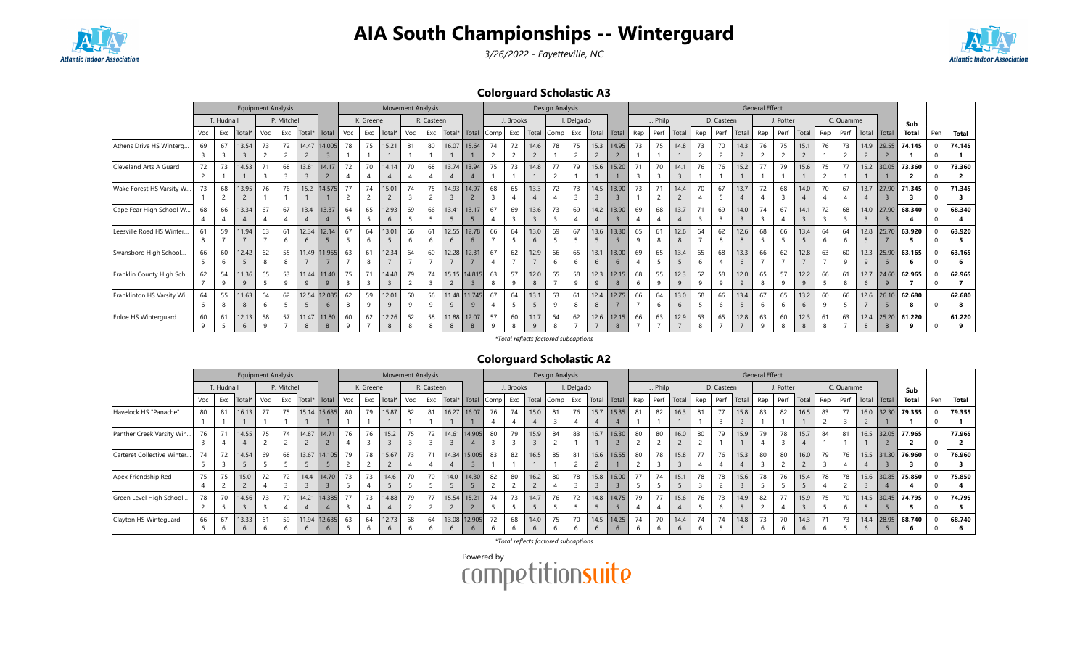



3/26/2022 - Fayetteville, NC

## Colorguard Scholastic A3

|                           |              |            | <b>Equipment Analysis</b> |     |             |                |              |              |                | <b>Movement Analysis</b> |     |                |            |             |          |           |                      | Design Analysis |            |                |            |     |          |           |     |            |           | <b>General Effect</b> |           |                      |     |           |                |            |              |     |        |
|---------------------------|--------------|------------|---------------------------|-----|-------------|----------------|--------------|--------------|----------------|--------------------------|-----|----------------|------------|-------------|----------|-----------|----------------------|-----------------|------------|----------------|------------|-----|----------|-----------|-----|------------|-----------|-----------------------|-----------|----------------------|-----|-----------|----------------|------------|--------------|-----|--------|
|                           |              | T. Hudnall |                           |     | P. Mitchell |                |              |              | K. Greene      |                          |     | R. Casteen     |            |             |          | J. Brooks |                      |                 | I. Delgado |                |            |     | J. Philp |           |     | D. Casteen |           |                       | J. Potter |                      |     | C. Quamme |                |            | Sub          |     |        |
|                           | Voc          | Exc        | Total*                    | Voc | Exc         |                | Total* Total | Voc          | Exc            | Total*                   | Voc | Exc            | Total*     | Total       | Comp     | Exc       | Total                | Comp            | Exc        | Total          | Total      | Rep | Perf     | Total     | Rep | Perf       | Total     | Rep                   | Perf      | Total                | Rep | Perf      | Total          | Total      | Total        | Pen | Total  |
| Athens Drive HS Winterg   | 69           | 67         | 13.54                     | 73  | 72          |                | 14.47 14.005 | 78           | 75             | 15.21                    | 81  | 80             | 16.07      | 15.64       | 74       | 72        | 14.6                 | 78              | 75         | 15.3           | 14.95      | 73  | 75       | 14.8      | 73  | 70         | 14.3      |                       | 75        | 15.1                 |     | 73        | 14.9           | 29.55      | 74.145       |     | 74.145 |
|                           |              |            |                           |     |             | $\overline{2}$ |              |              |                |                          |     |                |            |             | 2        | 2         |                      |                 |            | $\overline{c}$ | ے          |     |          |           |     |            |           |                       |           | $\epsilon$           |     |           | $\overline{2}$ |            |              |     |        |
| Cleveland Arts A Guard    | 72           | 73         | 14.53                     |     | 68          |                | 13.81 14.17  | 72           | 70             | 14.14                    | 70  | 68             |            | 13.74 13.94 | 75       | 73        | 14.8                 | 77              | 79         | 15.6           | 15.20      |     | 70       | 14.1      | 76  | 76         | 15.2      |                       | 79        | 15.6                 | 75  | 77        | 15.2           | 30.05      | 73.360       |     | 73.360 |
|                           |              |            |                           |     |             |                |              |              |                |                          |     |                |            |             |          |           |                      |                 |            |                |            |     |          |           |     |            |           |                       |           |                      |     |           |                |            |              |     |        |
| Wake Forest HS Varsity W. | 73           | 68         | 13.95                     | 76  | 76          |                | 15.2 14.575  | 77           | 74             | 15.01                    | 74  | 75             | 14.93      | 14.97       | 68       | 65        | 13.3                 | 72              | 73         | 14.5           | 13.90      | 73  | 71       | 14.4      | 70  | 67         | 13.7      |                       | 68        | 14.0                 |     | 67        | 13.7           | 27.90      | 71.345       |     | 71.345 |
| Cape Fear High School W   | 68           | 66         | 13.34                     | 67  | 67          | 13.4           | 13.37        | 64           | 65             | 12.93                    | 69  | 66             | 13.41      | 13.17       | 67       | 69        | 13.6                 | 73              | 69         | 14.2           | 13.90      | 69  | 68       | 13.7      |     | 69         | 14.0      |                       | 67        | 14.1                 | 72  | 68        | 14.0           | 27.90      | 68.340       |     | 68.340 |
|                           |              |            | 4                         |     |             | $\overline{4}$ |              | <sub>b</sub> | -5             | 6                        |     |                |            |             | -4       | 3         |                      |                 |            |                |            |     |          |           |     |            |           |                       |           |                      |     |           | 3              |            |              |     |        |
| Leesville Road HS Winter. | 61           | 59         | 11.94                     | 63  | 61          | 6              | 12.34 12.14  | 67           | 64<br>6        | 13.01                    | 66  | 6 <sup>7</sup> | 6          | 12.55 12.78 | 66       | 64        | 13.0<br>6            | 69              | 67         | 13.6           | 13.30      | 65  | 61       | 12.6<br>8 | 64  | 62         | 12.6<br>8 | 68                    | 66        | 13.4                 | 64  | 64        | 12.8           | 25.70      | 63.920       |     | 63.920 |
|                           |              |            |                           |     |             |                |              |              |                |                          |     |                |            |             |          |           |                      |                 |            |                |            |     |          |           |     |            |           |                       |           |                      |     |           |                |            |              |     |        |
| Swansboro High School     | 66           | 60<br>6    | 12.42                     | 62  | 55          |                | 11.49 11.955 | 63           | 61<br>8        | 12.34                    | 64  | 60             | 12.28      | 12.31       | 67<br>-4 | 62        | 12.9                 | 66              | 65         | 13.1<br>6      | 13.00<br>6 | 69  | 65       | 13.4      | 65  | 68         | 13.3<br>6 | 66                    | 62        | 12.8                 | 63  | 60<br>۰Q  | 12.3<br>9      | 25.90<br>6 | 63.165<br>-6 |     | 63.165 |
| Franklin County High Sch  | 62           | 54         | 11.36                     | 65  | 53          |                | 11.44 11.40  | 75           | 71             | 14.48                    | 79  | 74             | 15.15      | 14.815      | 63       | 57        | 12.0                 | 65              | 58         | 12.3           | 12.15      | 68  | 55       | 12.3      | 62  | 58         | 12.0      | 65                    | 57        | 12.2                 | 66  | 61        | 12.7           | 24.60      | 62.965       |     | 62.965 |
|                           |              | -9         | 9                         |     |             | 9              | q            |              | $\overline{3}$ |                          |     |                |            |             | 8        | 9         | 8                    |                 |            | 9              | 8          | 6   |          | 9         |     | -9         | 9         |                       |           | 9                    |     |           | 6              | 9          |              |     |        |
| Franklinton HS Varsity Wi | 64           | 55         | 11.63                     | 64  | 62          | 12.54          | 12.085       | 62           | 59             | 12.01                    | 60  | 56             | 11.48      | 11.745      | 67       | 64        | 13.1                 | 63              |            | 12.4           | 12.75      | 66  | 64       | 13.0      | 68  | 66         | 13.4      |                       | 65        | 13.2                 | 60  | 66        | 12.6           | 26.10      | 62.680       |     | 62.680 |
|                           | <sub>b</sub> |            | 8                         |     |             |                |              |              |                | 9                        |     |                |            |             |          |           |                      |                 |            |                |            |     |          | 6         |     |            |           |                       |           | 6                    |     |           |                |            |              |     |        |
| Enloe HS Winterguard      | 60<br>a      | 61         | 12.13                     | 58  | 57          | 8              | 11.47 11.80  | 60           | 62             | 12.26<br>8               | 62  | 58             | 11.88<br>8 | 12.07<br>8  | 57<br>9  | 60<br>8   | 11.7<br>$\mathsf{q}$ |                 | 62         | 12.6           | 12.15      | 66  | 63       | 12.9      | 63  | 65         | 12.8      | 63<br>$\Omega$        | 60        | 12.3<br>$\mathbf{R}$ |     | 63        | 12.4<br>8      | 25.20<br>8 | 61.220<br>۰Q |     | 61.220 |

#### \*Total reflects factored subcaptions

## Colorguard Scholastic A2

|                            |     |            | <b>Equipment Analysis</b> |     |             |       |              |     |           | <b>Movement Analysis</b> |     |            |       |                       |    |           |            | Design Analysis |            |      |                     |     |          |       |     |            |       | <b>General Effect</b> |           |       |     |           |             |                   |     |        |
|----------------------------|-----|------------|---------------------------|-----|-------------|-------|--------------|-----|-----------|--------------------------|-----|------------|-------|-----------------------|----|-----------|------------|-----------------|------------|------|---------------------|-----|----------|-------|-----|------------|-------|-----------------------|-----------|-------|-----|-----------|-------------|-------------------|-----|--------|
|                            |     | T. Hudnall |                           |     | P. Mitchell |       |              |     | K. Greene |                          |     | R. Casteen |       |                       |    | J. Brooks |            |                 | I. Delgado |      |                     |     | J. Philp |       |     | D. Casteen |       |                       | J. Potter |       |     | C. Quamme |             | Sub               |     |        |
|                            | Voc | Exc        | Total                     | Voc | Exc         |       | Total* Total | Voc | Exc       | Total*                   | Voc | Exc        |       | Total*   Total   Comp |    | Exc       | Total Comp |                 |            |      | Exc   Total   Total | Rep | Perf     | Total | Rep | Perf       | Total | Rep                   | Perf      | Total | Rep | Perf      | Total Total | <b>Total</b>      | Pen | Total  |
| Havelock HS "Panache"      | 80  | 81         | 16.13                     | 77  | 75          |       | 15.14 15.635 | 80  | 79        | 15.87                    | 82  | 81         |       | 16.27 16.07           | 76 | 74        | 15.0       | 81              | 76         |      | $15.7$   15.35      | 81  | 82       | 16.3  | 81  | 77         | 15.8  | 83                    | 82        | 16.5  | 83  | 77        | 16.0 32.30  | 79.355            |     | 79.355 |
|                            |     |            |                           |     |             |       |              |     |           |                          |     |            |       |                       |    |           |            |                 |            |      |                     |     |          |       |     |            |       |                       |           |       |     |           |             |                   |     |        |
| Panther Creek Varsity Win  | 76  |            | 14.55                     | 75  | 74          |       | 14.87 14.71  | 76  | 76        | 15.2                     | 75  | 72         |       | 14.61 14.905          | 80 | 79        | 15.9       | 84              | 83         | 16.7 | 16.30               | 80  | 80       | 16.0  | 80  | 79         | 15.9  | 79                    | 78        | 15.7  | 84  | 81        |             | 16.5 32.05 77.965 |     | 77.965 |
|                            |     |            |                           |     |             |       |              |     |           |                          |     |            |       |                       |    |           |            |                 |            |      |                     |     |          |       |     |            |       |                       |           |       |     |           |             |                   |     |        |
| Carteret Collective Winter | 74  | 72         | 14.54                     | 69  | 68          | 13.67 | 14.105       | 79  | 78        | 15.67                    | 73  |            |       | 14.34 15.005          | 83 | 82        | 16.5       | 85              | 81         | 16.6 | 16.55               | 80  | 78       | 15.8  | 77  | 76         | 15.3  | 80                    | 80        | 16.0  | 79  | 76        | 15.5 31.30  | 76.960            |     | 76.960 |
|                            |     |            |                           |     |             |       |              |     |           |                          |     |            |       |                       |    |           |            |                 |            |      |                     |     |          |       |     |            |       |                       |           |       |     |           |             |                   |     |        |
| Apex Friendship Red        | 75  | 75         | 15.0                      | 72  | 72          |       | 14.4 14.70   | 73  | 73        | 14.6                     | 70  | 70         | 14.0  | 14.30                 | 82 | 80        | 16.2       | 80              | 78         |      | 15.8 16.00          | 77  | 74       | 15.1  | 78  | 78         | 15.6  | 78                    | 76        | 15.4  | 78  | 78        |             | 15.6 30.85 75.850 |     | 75.850 |
|                            |     |            |                           |     |             |       |              |     |           |                          |     |            |       |                       |    |           |            |                 |            |      |                     |     |          |       |     |            |       |                       |           |       |     |           |             |                   |     |        |
| Green Level High School    | 78  | 70         | 14.56                     | 73  | 70          |       | 14.21 14.385 | 77  | 73        | 14.88                    | 79  | 77         | 15.54 | 15.21                 | 74 | 73        | 14.7       | 76              | 72         |      | 14.8 14.75          | 79  | 77       | 15.6  | 76  | 73         | 14.9  | 82                    | 77        | 15.9  | 75  | 70        |             | 14.5 30.45 74.795 |     | 74.795 |
|                            |     |            |                           |     |             |       |              |     |           |                          |     |            |       |                       |    |           |            |                 |            |      |                     |     |          |       |     |            |       |                       |           |       |     |           |             |                   |     |        |
| Clayton HS Winteguard      | 66  | 67         | 13.33                     | 61  | 59          |       | 11.94 12.635 | 63  | 64        | 12.73                    | 68  | 64         |       | 13.08 12.905          | 72 | 68        | 14.0       | 75              | 70         |      | $14.5$   14.25      | 74  | 70       | 14.4  | 74  | 74         | 14.8  | 73                    | 70        | 14.3  | 71  | 73        |             | 14.4 28.95 68.740 |     | 68.740 |
|                            |     |            |                           |     |             |       |              |     |           |                          |     |            |       |                       |    |           |            |                 |            |      |                     |     |          |       |     |            |       |                       |           |       |     |           |             |                   |     |        |

#### \*Total reflects factored subcaptions

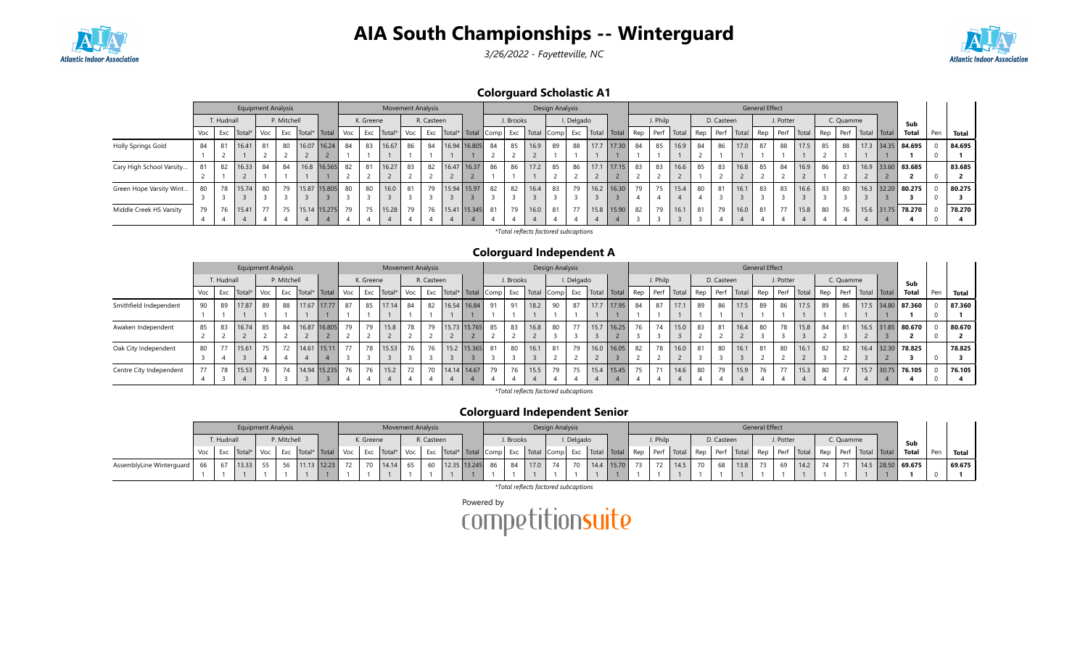

3/26/2022 - Fayetteville, NC



## Colorguard Scholastic A1

|                          |     |            |                    | <b>Equipment Analysis</b> |             |                 |     |           | <b>Movement Analysis</b> |     |            |                       |    |           |       | Design Analysis |            |                                  |            |    |          |       |         |            |       | <b>General Effect</b> |           |            |     |                |                      |            |                     |     |        |
|--------------------------|-----|------------|--------------------|---------------------------|-------------|-----------------|-----|-----------|--------------------------|-----|------------|-----------------------|----|-----------|-------|-----------------|------------|----------------------------------|------------|----|----------|-------|---------|------------|-------|-----------------------|-----------|------------|-----|----------------|----------------------|------------|---------------------|-----|--------|
|                          |     | T. Hudnall |                    |                           | P. Mitchell |                 |     | K. Greene |                          |     | R. Casteen |                       |    | J. Brooks |       |                 | I. Delgado |                                  |            |    | J. Philp |       |         | D. Casteen |       |                       | J. Potter |            |     | C. Quamme      |                      |            | Sub                 |     |        |
|                          | Voc | Exc        | Total <sup>*</sup> | Voc                       | Exc         | Total* Total    | Voc | Exc       | Total*                   | Voc | Exc        | Total*   Total   Comp |    | Exc       | Total | Comp            |            | Exc   Total   Total   Rep   Perf |            |    |          | Total | Rep     | Perf       | Total | Rep                   |           | Perf Total | Rep |                | Perf   Total   Total |            | <b>Total</b>        | Pen | Total  |
| Holly Springs Gold       | 84  | 81         | 16.41              | 81                        | 80          | 16.07   16.24   | 84  | 83        | 16.67                    | 86  | 84         | 16.94 16.805          | 84 | 85        | 16.9  | 89              | 88         | 17.7                             | 17.30      | 84 | 85       | 16.9  | 84      | 86         | 17.0  | 87                    | 88        | 17.5       | 85  | 88             |                      |            | 17.3 34.35 84.695   |     | 84.695 |
|                          |     |            |                    |                           |             |                 |     |           |                          |     |            |                       |    |           |       |                 |            |                                  |            |    |          |       |         |            |       |                       |           |            |     |                |                      |            |                     |     |        |
| Cary High School Varsity | 81  | 82         | 16.33              | 84                        | 84          | 16.8 16.565     | 82  | 81        | 16.27                    | 83  | 82         | 16.47 16.37           | 86 | 86        | 17.2  | 85              | 86         | 17.1                             | 17.15      | 83 | 83       | 16.6  | 85      | 83         | 16.8  | 85                    | 84        | 16.9       | 86  | 83             |                      |            | 16.9 33.60 83.685   |     | 83.685 |
|                          |     |            |                    |                           |             |                 |     |           |                          |     |            |                       |    |           |       |                 |            |                                  |            |    |          |       |         |            |       |                       |           |            |     |                |                      |            |                     |     |        |
| Green Hope Varsity Wint  | 80  | 78         | 15.74              | 80                        | 79          | 15.87 15.805 80 |     | 80        | 16.0                     |     | 79         | 15.94 15.97           | 82 | 82        | 16.4  | 83              | 79         |                                  | 16.2 16.30 | 79 | 75       | 15.4  | $\circ$ | 81         | 16.1  | 83                    | 83        | 16.6       | 83  | 80             |                      |            | $16.3$ 32.20 80.275 |     | 80.275 |
|                          |     |            |                    |                           |             |                 |     |           |                          |     |            |                       |    |           |       |                 |            |                                  |            |    |          |       |         |            |       |                       |           |            |     |                |                      |            |                     |     |        |
| Middle Creek HS Varsity  | 79  | 76         | 15.41              | 77                        | 75          | 15.14 15.275    | 79  | 75        | 15.28                    | 79  | 76         | 15.41 15.345          | 81 | 79        | 16.0  | 81              | 77         |                                  | 15.8 15.90 | 82 | 79       | 16.1  | 81      | 79         | 16.0  | 81                    | 77        | 15.8       | 80  | $\overline{f}$ |                      | 15.6 31.75 | 78.270              |     | 78.270 |
|                          |     |            |                    |                           |             |                 |     |           |                          |     |            |                       |    |           |       |                 |            |                                  |            |    |          |       |         |            |       |                       |           |            |     |                |                      |            |                     |     |        |

\*Total reflects factored subcaptions

## Colorguard Independent A

|                         |          |            | <b>Equipment Analysis</b> |     |             |                      |                 |     |           | <b>Movement Analysis</b> |     |            |                       |             |    |           |                                  | Design Analysis |            |              |     |          |       |     |            |       | <b>General Effect</b> |           |       |     |           |                      |                     |     |        |
|-------------------------|----------|------------|---------------------------|-----|-------------|----------------------|-----------------|-----|-----------|--------------------------|-----|------------|-----------------------|-------------|----|-----------|----------------------------------|-----------------|------------|--------------|-----|----------|-------|-----|------------|-------|-----------------------|-----------|-------|-----|-----------|----------------------|---------------------|-----|--------|
|                         |          | T. Hudnall |                           |     | P. Mitchell |                      |                 |     | K. Greene |                          |     | R. Casteen |                       |             |    | J. Brooks |                                  |                 | I. Delgado |              |     | J. Philp |       |     | D. Casteen |       |                       | J. Potter |       |     | C. Quamme |                      | Sub                 |     |        |
|                         | Voc      | Exc        | Total*                    | Voc |             | Exc   Total*   Total |                 | Voc | Exc       | Total*                   | Voc | Exc        | Total*   Total   Comp |             |    | Exc       | Total Comp   Exc   Total   Total |                 |            |              | Rep | Perf     | Total | Rep | Perf       | Total | Rep                   | Perf      | Total | Rep |           | Perf   Total   Total | Total               | Pen | Total  |
| Smithfield Independent  | $\Omega$ | 89         | 17.87                     | 89  | 88          | 17.67 17.77          |                 | 87  | 85        | 17.14                    | 84  | 82         |                       | 16.54 16.84 | 91 | 91        | 18.2                             | 90              | 87         | 17.7 17.95   | 84  | 87       | 17.1  | 89  | 86         | 17.5  | 89                    | 86        | 17.5  | 89  | 86        |                      | $17.5$ 34.80 87.360 |     | 87.360 |
|                         |          |            |                           |     |             |                      |                 |     |           |                          |     |            |                       |             |    |           |                                  |                 |            |              |     |          |       |     |            |       |                       |           |       |     |           |                      |                     |     |        |
| Awaken Independent      | 85       | 83         | 16.74                     | 85  | 84          |                      | 16.87 16.805 79 |     | 79        | 15.8                     | 78  | 79         | 15.73 15.765          |             | 85 | 83        | 16.8                             | 80              | 77         | 15.7   16.25 | 76  | 74       | 15.0  | 83  | 81         | 16.4  | 80                    | 78        | 15.8  | 84  | 81        |                      | 16.5 31.85 80.670   |     | 80.670 |
|                         |          |            |                           |     |             |                      |                 |     |           |                          |     |            |                       |             |    |           |                                  |                 |            |              |     |          |       |     |            |       |                       |           |       |     |           |                      |                     |     |        |
| Oak City Independent    | 80       | 77         | 15.61                     | 75  | 72          | 14.61 15.11 77       |                 |     | 78        | 15.53                    | 76  | 76         |                       | 15.2 15.365 | 81 | 80        | 16.1                             | 81              | 79         | 16.0 16.05   | 82  | 78       | 16.0  | 81  | 80         | 16.1  | 81                    | 80        | 16.1  | 82  | 82        |                      | 16.4 32.30 78.825   |     | 78.825 |
|                         |          |            |                           |     |             |                      |                 |     |           |                          |     |            |                       |             |    |           |                                  |                 |            |              |     |          |       |     |            |       |                       |           |       |     |           |                      |                     |     |        |
| Centre City Independent | 77       | 78         | 15.53                     | 76  | 74          | 14.94 15.235         |                 | 76  | 76        | 15.2                     | 72  | 70         | 14.14 14.67           |             | 79 | 76        | 15.5                             | 79              | 75         | 15.4 15.45   | 75  | 71       | 14.6  | 80  | 79         | 15.9  | 76                    | 77        | 15.3  | 80  | 77        |                      | $15.7$ 30.75 76.105 |     | 76.105 |
|                         |          |            |                           |     |             |                      |                 |     |           |                          |     |            |                       |             |    |           |                                  |                 |            |              |     |          |       |     |            |       |                       |           |       |     |           |                      |                     |     |        |

\*Total reflects factored subcaptions

## Colorguard Independent Senior

|                          |         |            | <b>Equipment Analysis</b> |             |                          |           | <b>Movement Analysis</b> |    |            |                 |           |              | Design Analysis |            |                  |          |      |            |      | <b>General Effect</b> |           |           |           |                                                                                                                                                                                 |                     |     |        |
|--------------------------|---------|------------|---------------------------|-------------|--------------------------|-----------|--------------------------|----|------------|-----------------|-----------|--------------|-----------------|------------|------------------|----------|------|------------|------|-----------------------|-----------|-----------|-----------|---------------------------------------------------------------------------------------------------------------------------------------------------------------------------------|---------------------|-----|--------|
|                          |         | T. Hudnall |                           | P. Mitchell |                          | K. Greene |                          |    | R. Casteen |                 | J. Brooks |              |                 | I. Delgado |                  | J. Philp |      | D. Casteen |      |                       | J. Potter |           | C. Quamme |                                                                                                                                                                                 | Sub                 |     |        |
|                          | Voc Exc |            | $ Total* $                |             | Voc Exc Total* Total Voc |           | Exc Total*               |    |            |                 |           |              |                 |            |                  |          |      |            |      |                       |           |           |           | Voc   Exc  Total*   Total   Comp   Exc   Total   Comp   Exc   Total   Total   Rep   Perf   Total   Rep   Perf   Total   Rep   Perf   Total   Rep   Perf   Total   Total   Total | <b>Total</b>        | Pen | Total  |
| AssemblyLine Winterguard | 66 I    |            | 13.33 <sub>1</sub>        |             | $11.13$ 12.23            |           | 14.14                    | 65 | 60         | 12.35 13.245 86 |           | $84$ 17.0 74 |                 |            | 70 14.4 15.70 73 | 72       | 14.5 |            | 13.8 | 73                    |           | 69   14.2 |           |                                                                                                                                                                                 | $14.5$ 28.50 69.675 |     | 69.675 |
|                          |         |            |                           |             |                          |           |                          |    |            |                 |           |              |                 |            |                  |          |      |            |      |                       |           |           |           |                                                                                                                                                                                 |                     |     |        |

\*Total reflects factored subcaptions

Powered by<br>COMPetitionsuite